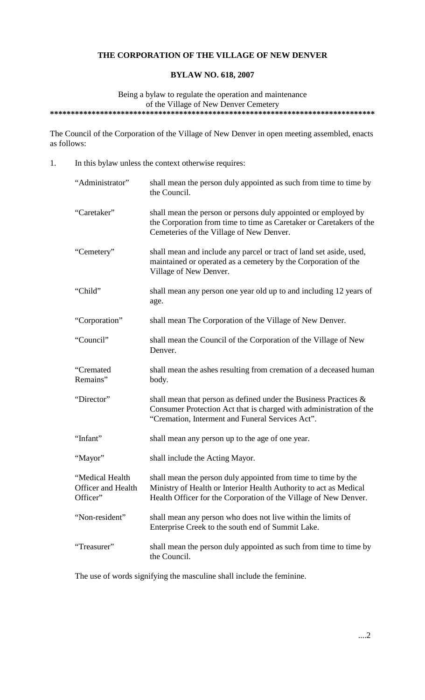# **THE CORPORATION OF THE VILLAGE OF NEW DENVER**

## **BYLAW NO. 618, 2007**

Being a bylaw to regulate the operation and maintenance of the Village of New Denver Cemetery **\*\*\*\*\*\*\*\*\*\*\*\*\*\*\*\*\*\*\*\*\*\*\*\*\*\*\*\*\*\*\*\*\*\*\*\*\*\*\*\*\*\*\*\*\*\*\*\*\*\*\*\*\*\*\*\*\*\*\*\*\*\*\*\*\*\*\*\*\*\*\*\*\*\*\*\*\*\***

The Council of the Corporation of the Village of New Denver in open meeting assembled, enacts as follows:

1. In this bylaw unless the context otherwise requires:

| "Administrator"                                   | shall mean the person duly appointed as such from time to time by<br>the Council.                                                                                                                      |
|---------------------------------------------------|--------------------------------------------------------------------------------------------------------------------------------------------------------------------------------------------------------|
| "Caretaker"                                       | shall mean the person or persons duly appointed or employed by<br>the Corporation from time to time as Caretaker or Caretakers of the<br>Cemeteries of the Village of New Denver.                      |
| "Cemetery"                                        | shall mean and include any parcel or tract of land set aside, used,<br>maintained or operated as a cemetery by the Corporation of the<br>Village of New Denver.                                        |
| "Child"                                           | shall mean any person one year old up to and including 12 years of<br>age.                                                                                                                             |
| "Corporation"                                     | shall mean The Corporation of the Village of New Denver.                                                                                                                                               |
| "Council"                                         | shall mean the Council of the Corporation of the Village of New<br>Denver.                                                                                                                             |
| "Cremated<br>Remains"                             | shall mean the ashes resulting from cremation of a deceased human<br>body.                                                                                                                             |
| "Director"                                        | shall mean that person as defined under the Business Practices $\&$<br>Consumer Protection Act that is charged with administration of the<br>"Cremation, Interment and Funeral Services Act".          |
| "Infant"                                          | shall mean any person up to the age of one year.                                                                                                                                                       |
| "Mayor"                                           | shall include the Acting Mayor.                                                                                                                                                                        |
| "Medical Health<br>Officer and Health<br>Officer" | shall mean the person duly appointed from time to time by the<br>Ministry of Health or Interior Health Authority to act as Medical<br>Health Officer for the Corporation of the Village of New Denver. |
| "Non-resident"                                    | shall mean any person who does not live within the limits of<br>Enterprise Creek to the south end of Summit Lake.                                                                                      |
| "Treasurer"                                       | shall mean the person duly appointed as such from time to time by<br>the Council.                                                                                                                      |

The use of words signifying the masculine shall include the feminine.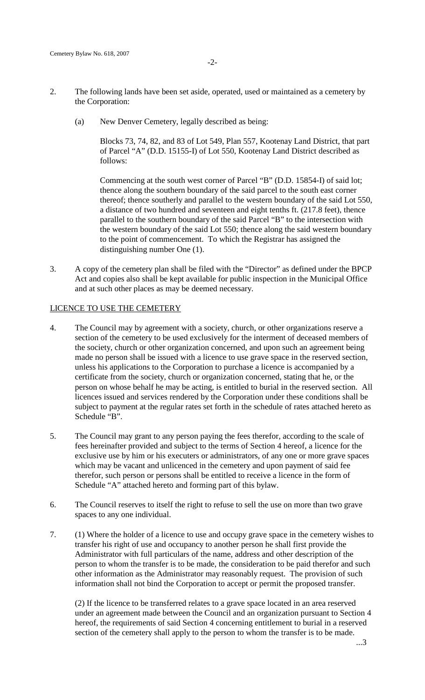- 2. The following lands have been set aside, operated, used or maintained as a cemetery by the Corporation:
	- (a) New Denver Cemetery, legally described as being:

Blocks 73, 74, 82, and 83 of Lot 549, Plan 557, Kootenay Land District, that part of Parcel "A" (D.D. 15155-I) of Lot 550, Kootenay Land District described as follows:

Commencing at the south west corner of Parcel "B" (D.D. 15854-I) of said lot; thence along the southern boundary of the said parcel to the south east corner thereof; thence southerly and parallel to the western boundary of the said Lot 550, a distance of two hundred and seventeen and eight tenths ft. (217.8 feet), thence parallel to the southern boundary of the said Parcel "B" to the intersection with the western boundary of the said Lot 550; thence along the said western boundary to the point of commencement. To which the Registrar has assigned the distinguishing number One (1).

3. A copy of the cemetery plan shall be filed with the "Director" as defined under the BPCP Act and copies also shall be kept available for public inspection in the Municipal Office and at such other places as may be deemed necessary.

#### LICENCE TO USE THE CEMETERY

- 4. The Council may by agreement with a society, church, or other organizations reserve a section of the cemetery to be used exclusively for the interment of deceased members of the society, church or other organization concerned, and upon such an agreement being made no person shall be issued with a licence to use grave space in the reserved section, unless his applications to the Corporation to purchase a licence is accompanied by a certificate from the society, church or organization concerned, stating that he, or the person on whose behalf he may be acting, is entitled to burial in the reserved section. All licences issued and services rendered by the Corporation under these conditions shall be subject to payment at the regular rates set forth in the schedule of rates attached hereto as Schedule "B".
- 5. The Council may grant to any person paying the fees therefor, according to the scale of fees hereinafter provided and subject to the terms of Section 4 hereof, a licence for the exclusive use by him or his executers or administrators, of any one or more grave spaces which may be vacant and unlicenced in the cemetery and upon payment of said fee therefor, such person or persons shall be entitled to receive a licence in the form of Schedule "A" attached hereto and forming part of this bylaw.
- 6. The Council reserves to itself the right to refuse to sell the use on more than two grave spaces to any one individual.
- 7. (1) Where the holder of a licence to use and occupy grave space in the cemetery wishes to transfer his right of use and occupancy to another person he shall first provide the Administrator with full particulars of the name, address and other description of the person to whom the transfer is to be made, the consideration to be paid therefor and such other information as the Administrator may reasonably request. The provision of such information shall not bind the Corporation to accept or permit the proposed transfer.

(2) If the licence to be transferred relates to a grave space located in an area reserved under an agreement made between the Council and an organization pursuant to Section 4 hereof, the requirements of said Section 4 concerning entitlement to burial in a reserved section of the cemetery shall apply to the person to whom the transfer is to be made.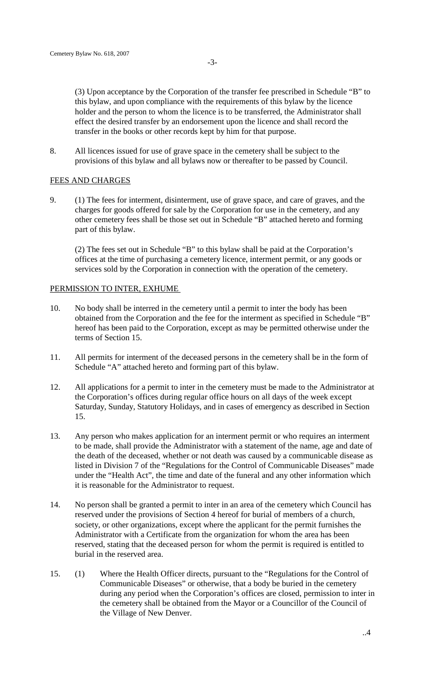(3) Upon acceptance by the Corporation of the transfer fee prescribed in Schedule "B" to this bylaw, and upon compliance with the requirements of this bylaw by the licence holder and the person to whom the licence is to be transferred, the Administrator shall effect the desired transfer by an endorsement upon the licence and shall record the transfer in the books or other records kept by him for that purpose.

8. All licences issued for use of grave space in the cemetery shall be subject to the provisions of this bylaw and all bylaws now or thereafter to be passed by Council.

#### FEES AND CHARGES

9. (1) The fees for interment, disinterment, use of grave space, and care of graves, and the charges for goods offered for sale by the Corporation for use in the cemetery, and any other cemetery fees shall be those set out in Schedule "B" attached hereto and forming part of this bylaw.

(2) The fees set out in Schedule "B" to this bylaw shall be paid at the Corporation's offices at the time of purchasing a cemetery licence, interment permit, or any goods or services sold by the Corporation in connection with the operation of the cemetery.

#### PERMISSION TO INTER, EXHUME

- 10. No body shall be interred in the cemetery until a permit to inter the body has been obtained from the Corporation and the fee for the interment as specified in Schedule "B" hereof has been paid to the Corporation, except as may be permitted otherwise under the terms of Section 15.
- 11. All permits for interment of the deceased persons in the cemetery shall be in the form of Schedule "A" attached hereto and forming part of this bylaw.
- 12. All applications for a permit to inter in the cemetery must be made to the Administrator at the Corporation's offices during regular office hours on all days of the week except Saturday, Sunday, Statutory Holidays, and in cases of emergency as described in Section 15.
- 13. Any person who makes application for an interment permit or who requires an interment to be made, shall provide the Administrator with a statement of the name, age and date of the death of the deceased, whether or not death was caused by a communicable disease as listed in Division 7 of the "Regulations for the Control of Communicable Diseases" made under the "Health Act", the time and date of the funeral and any other information which it is reasonable for the Administrator to request.
- 14. No person shall be granted a permit to inter in an area of the cemetery which Council has reserved under the provisions of Section 4 hereof for burial of members of a church, society, or other organizations, except where the applicant for the permit furnishes the Administrator with a Certificate from the organization for whom the area has been reserved, stating that the deceased person for whom the permit is required is entitled to burial in the reserved area.
- 15. (1) Where the Health Officer directs, pursuant to the "Regulations for the Control of Communicable Diseases" or otherwise, that a body be buried in the cemetery during any period when the Corporation's offices are closed, permission to inter in the cemetery shall be obtained from the Mayor or a Councillor of the Council of the Village of New Denver.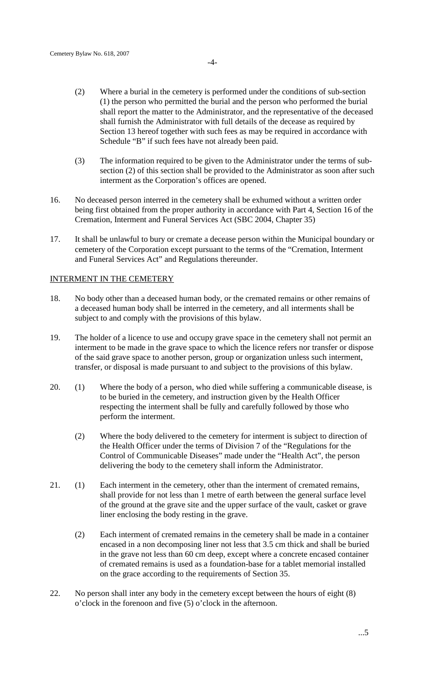- (2) Where a burial in the cemetery is performed under the conditions of sub-section (1) the person who permitted the burial and the person who performed the burial shall report the matter to the Administrator, and the representative of the deceased shall furnish the Administrator with full details of the decease as required by Section 13 hereof together with such fees as may be required in accordance with Schedule "B" if such fees have not already been paid.
- (3) The information required to be given to the Administrator under the terms of subsection (2) of this section shall be provided to the Administrator as soon after such interment as the Corporation's offices are opened.
- 16. No deceased person interred in the cemetery shall be exhumed without a written order being first obtained from the proper authority in accordance with Part 4, Section 16 of the Cremation, Interment and Funeral Services Act (SBC 2004, Chapter 35)
- 17. It shall be unlawful to bury or cremate a decease person within the Municipal boundary or cemetery of the Corporation except pursuant to the terms of the "Cremation, Interment and Funeral Services Act" and Regulations thereunder.

## INTERMENT IN THE CEMETERY

- 18. No body other than a deceased human body, or the cremated remains or other remains of a deceased human body shall be interred in the cemetery, and all interments shall be subject to and comply with the provisions of this bylaw.
- 19. The holder of a licence to use and occupy grave space in the cemetery shall not permit an interment to be made in the grave space to which the licence refers nor transfer or dispose of the said grave space to another person, group or organization unless such interment, transfer, or disposal is made pursuant to and subject to the provisions of this bylaw.
- 20. (1) Where the body of a person, who died while suffering a communicable disease, is to be buried in the cemetery, and instruction given by the Health Officer respecting the interment shall be fully and carefully followed by those who perform the interment.
	- (2) Where the body delivered to the cemetery for interment is subject to direction of the Health Officer under the terms of Division 7 of the "Regulations for the Control of Communicable Diseases" made under the "Health Act", the person delivering the body to the cemetery shall inform the Administrator.
- 21. (1) Each interment in the cemetery, other than the interment of cremated remains, shall provide for not less than 1 metre of earth between the general surface level of the ground at the grave site and the upper surface of the vault, casket or grave liner enclosing the body resting in the grave.
	- (2) Each interment of cremated remains in the cemetery shall be made in a container encased in a non decomposing liner not less that 3.5 cm thick and shall be buried in the grave not less than 60 cm deep, except where a concrete encased container of cremated remains is used as a foundation-base for a tablet memorial installed on the grace according to the requirements of Section 35.
- 22. No person shall inter any body in the cemetery except between the hours of eight (8) o'clock in the forenoon and five (5) o'clock in the afternoon.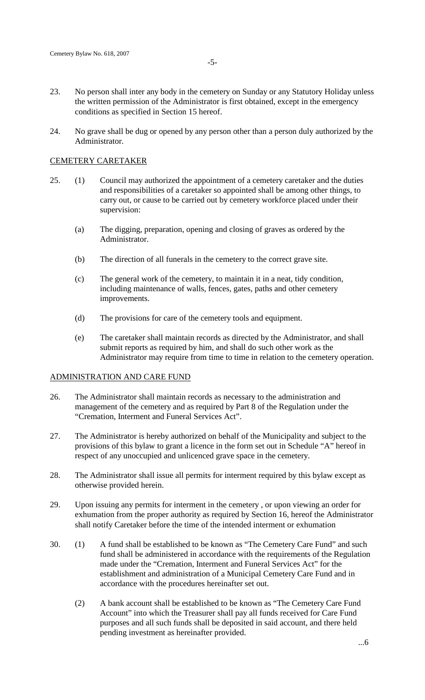- 23. No person shall inter any body in the cemetery on Sunday or any Statutory Holiday unless the written permission of the Administrator is first obtained, except in the emergency conditions as specified in Section 15 hereof.
- 24. No grave shall be dug or opened by any person other than a person duly authorized by the Administrator.

#### CEMETERY CARETAKER

- 25. (1) Council may authorized the appointment of a cemetery caretaker and the duties and responsibilities of a caretaker so appointed shall be among other things, to carry out, or cause to be carried out by cemetery workforce placed under their supervision:
	- (a) The digging, preparation, opening and closing of graves as ordered by the Administrator.
	- (b) The direction of all funerals in the cemetery to the correct grave site.
	- (c) The general work of the cemetery, to maintain it in a neat, tidy condition, including maintenance of walls, fences, gates, paths and other cemetery improvements.
	- (d) The provisions for care of the cemetery tools and equipment.
	- (e) The caretaker shall maintain records as directed by the Administrator, and shall submit reports as required by him, and shall do such other work as the Administrator may require from time to time in relation to the cemetery operation.

## ADMINISTRATION AND CARE FUND

- 26. The Administrator shall maintain records as necessary to the administration and management of the cemetery and as required by Part 8 of the Regulation under the "Cremation, Interment and Funeral Services Act".
- 27. The Administrator is hereby authorized on behalf of the Municipality and subject to the provisions of this bylaw to grant a licence in the form set out in Schedule "A" hereof in respect of any unoccupied and unlicenced grave space in the cemetery.
- 28. The Administrator shall issue all permits for interment required by this bylaw except as otherwise provided herein.
- 29. Upon issuing any permits for interment in the cemetery , or upon viewing an order for exhumation from the proper authority as required by Section 16, hereof the Administrator shall notify Caretaker before the time of the intended interment or exhumation
- 30. (1) A fund shall be established to be known as "The Cemetery Care Fund" and such fund shall be administered in accordance with the requirements of the Regulation made under the "Cremation, Interment and Funeral Services Act" for the establishment and administration of a Municipal Cemetery Care Fund and in accordance with the procedures hereinafter set out.
	- (2) A bank account shall be established to be known as "The Cemetery Care Fund Account" into which the Treasurer shall pay all funds received for Care Fund purposes and all such funds shall be deposited in said account, and there held pending investment as hereinafter provided.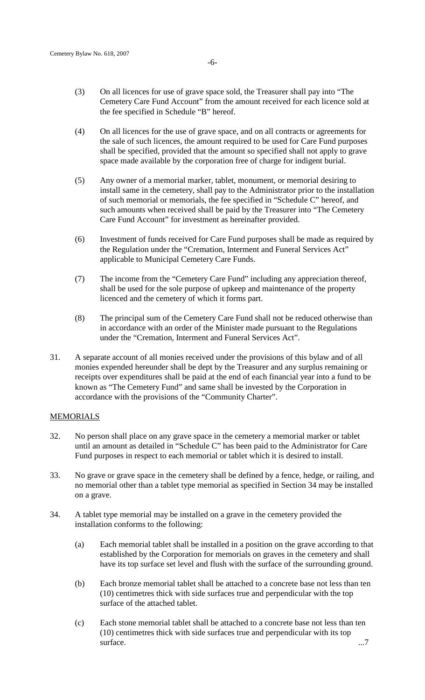- (3) On all licences for use of grave space sold, the Treasurer shall pay into "The Cemetery Care Fund Account" from the amount received for each licence sold at the fee specified in Schedule "B" hereof.
- (4) On all licences for the use of grave space, and on all contracts or agreements for the sale of such licences, the amount required to be used for Care Fund purposes shall be specified, provided that the amount so specified shall not apply to grave space made available by the corporation free of charge for indigent burial.
- (5) Any owner of a memorial marker, tablet, monument, or memorial desiring to install same in the cemetery, shall pay to the Administrator prior to the installation of such memorial or memorials, the fee specified in "Schedule C" hereof, and such amounts when received shall be paid by the Treasurer into "The Cemetery Care Fund Account" for investment as hereinafter provided.
- (6) Investment of funds received for Care Fund purposes shall be made as required by the Regulation under the "Cremation, Interment and Funeral Services Act" applicable to Municipal Cemetery Care Funds.
- (7) The income from the "Cemetery Care Fund" including any appreciation thereof, shall be used for the sole purpose of upkeep and maintenance of the property licenced and the cemetery of which it forms part.
- (8) The principal sum of the Cemetery Care Fund shall not be reduced otherwise than in accordance with an order of the Minister made pursuant to the Regulations under the "Cremation, Interment and Funeral Services Act".
- 31. A separate account of all monies received under the provisions of this bylaw and of all monies expended hereunder shall be dept by the Treasurer and any surplus remaining or receipts over expenditures shall be paid at the end of each financial year into a fund to be known as "The Cemetery Fund" and same shall be invested by the Corporation in accordance with the provisions of the "Community Charter".

## **MEMORIALS**

- 32. No person shall place on any grave space in the cemetery a memorial marker or tablet until an amount as detailed in "Schedule C" has been paid to the Administrator for Care Fund purposes in respect to each memorial or tablet which it is desired to install.
- 33. No grave or grave space in the cemetery shall be defined by a fence, hedge, or railing, and no memorial other than a tablet type memorial as specified in Section 34 may be installed on a grave.
- 34. A tablet type memorial may be installed on a grave in the cemetery provided the installation conforms to the following:
	- (a) Each memorial tablet shall be installed in a position on the grave according to that established by the Corporation for memorials on graves in the cemetery and shall have its top surface set level and flush with the surface of the surrounding ground.
	- (b) Each bronze memorial tablet shall be attached to a concrete base not less than ten (10) centimetres thick with side surfaces true and perpendicular with the top surface of the attached tablet.
	- (c) Each stone memorial tablet shall be attached to a concrete base not less than ten (10) centimetres thick with side surfaces true and perpendicular with its top  $\omega$  surface.  $\ldots$ 7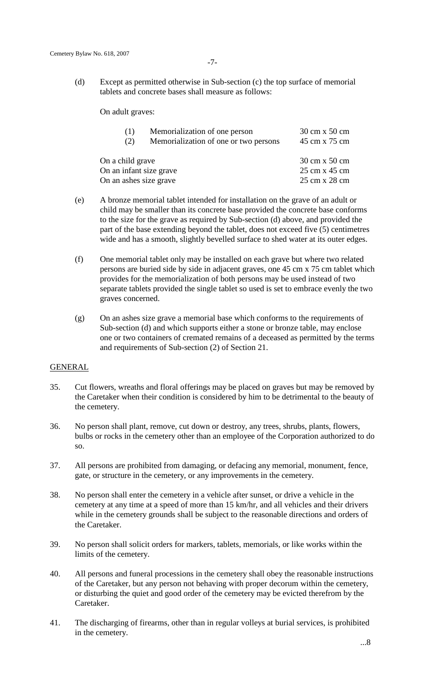(d) Except as permitted otherwise in Sub-section (c) the top surface of memorial tablets and concrete bases shall measure as follows:

On adult graves:

| (1)                     | Memorialization of one person         | 30 cm x 50 cm |
|-------------------------|---------------------------------------|---------------|
| (2)                     | Memorialization of one or two persons | 45 cm x 75 cm |
| On a child grave        |                                       | 30 cm x 50 cm |
| On an infant size grave |                                       | 25 cm x 45 cm |
| On an ashes size grave  |                                       | 25 cm x 28 cm |

- (e) A bronze memorial tablet intended for installation on the grave of an adult or child may be smaller than its concrete base provided the concrete base conforms to the size for the grave as required by Sub-section (d) above, and provided the part of the base extending beyond the tablet, does not exceed five (5) centimetres wide and has a smooth, slightly bevelled surface to shed water at its outer edges.
- (f) One memorial tablet only may be installed on each grave but where two related persons are buried side by side in adjacent graves, one 45 cm x 75 cm tablet which provides for the memorialization of both persons may be used instead of two separate tablets provided the single tablet so used is set to embrace evenly the two graves concerned.
- (g) On an ashes size grave a memorial base which conforms to the requirements of Sub-section (d) and which supports either a stone or bronze table, may enclose one or two containers of cremated remains of a deceased as permitted by the terms and requirements of Sub-section (2) of Section 21.

## GENERAL

- 35. Cut flowers, wreaths and floral offerings may be placed on graves but may be removed by the Caretaker when their condition is considered by him to be detrimental to the beauty of the cemetery.
- 36. No person shall plant, remove, cut down or destroy, any trees, shrubs, plants, flowers, bulbs or rocks in the cemetery other than an employee of the Corporation authorized to do so.
- 37. All persons are prohibited from damaging, or defacing any memorial, monument, fence, gate, or structure in the cemetery, or any improvements in the cemetery.
- 38. No person shall enter the cemetery in a vehicle after sunset, or drive a vehicle in the cemetery at any time at a speed of more than 15 km/hr, and all vehicles and their drivers while in the cemetery grounds shall be subject to the reasonable directions and orders of the Caretaker.
- 39. No person shall solicit orders for markers, tablets, memorials, or like works within the limits of the cemetery.
- 40. All persons and funeral processions in the cemetery shall obey the reasonable instructions of the Caretaker, but any person not behaving with proper decorum within the cemetery, or disturbing the quiet and good order of the cemetery may be evicted therefrom by the Caretaker.
- 41. The discharging of firearms, other than in regular volleys at burial services, is prohibited in the cemetery.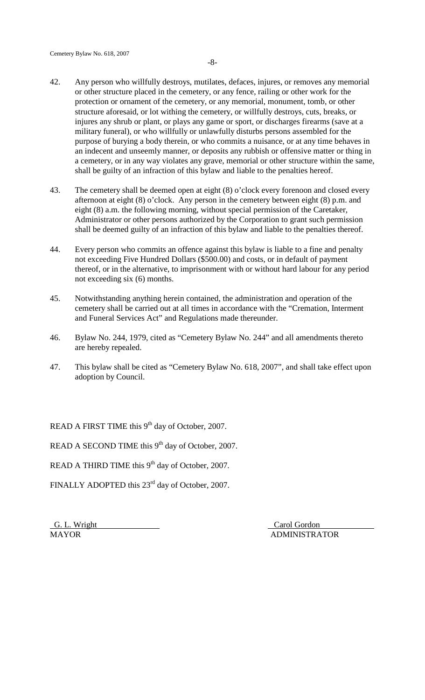- 42. Any person who willfully destroys, mutilates, defaces, injures, or removes any memorial or other structure placed in the cemetery, or any fence, railing or other work for the protection or ornament of the cemetery, or any memorial, monument, tomb, or other structure aforesaid, or lot withing the cemetery, or willfully destroys, cuts, breaks, or injures any shrub or plant, or plays any game or sport, or discharges firearms (save at a military funeral), or who willfully or unlawfully disturbs persons assembled for the purpose of burying a body therein, or who commits a nuisance, or at any time behaves in an indecent and unseemly manner, or deposits any rubbish or offensive matter or thing in a cemetery, or in any way violates any grave, memorial or other structure within the same, shall be guilty of an infraction of this bylaw and liable to the penalties hereof.
- 43. The cemetery shall be deemed open at eight (8) o'clock every forenoon and closed every afternoon at eight (8) o'clock. Any person in the cemetery between eight (8) p.m. and eight (8) a.m. the following morning, without special permission of the Caretaker, Administrator or other persons authorized by the Corporation to grant such permission shall be deemed guilty of an infraction of this bylaw and liable to the penalties thereof.
- 44. Every person who commits an offence against this bylaw is liable to a fine and penalty not exceeding Five Hundred Dollars (\$500.00) and costs, or in default of payment thereof, or in the alternative, to imprisonment with or without hard labour for any period not exceeding six (6) months.
- 45. Notwithstanding anything herein contained, the administration and operation of the cemetery shall be carried out at all times in accordance with the "Cremation, Interment and Funeral Services Act" and Regulations made thereunder.
- 46. Bylaw No. 244, 1979, cited as "Cemetery Bylaw No. 244" and all amendments thereto are hereby repealed.
- 47. This bylaw shall be cited as "Cemetery Bylaw No. 618, 2007", and shall take effect upon adoption by Council.

READ A FIRST TIME this 9<sup>th</sup> day of October, 2007.

READ A SECOND TIME this  $9<sup>th</sup>$  day of October, 2007.

READ A THIRD TIME this 9<sup>th</sup> day of October, 2007.

FINALLY ADOPTED this 23<sup>rd</sup> day of October, 2007.

G. L. Wright Carol Gordon MAYOR **ADMINISTRATOR**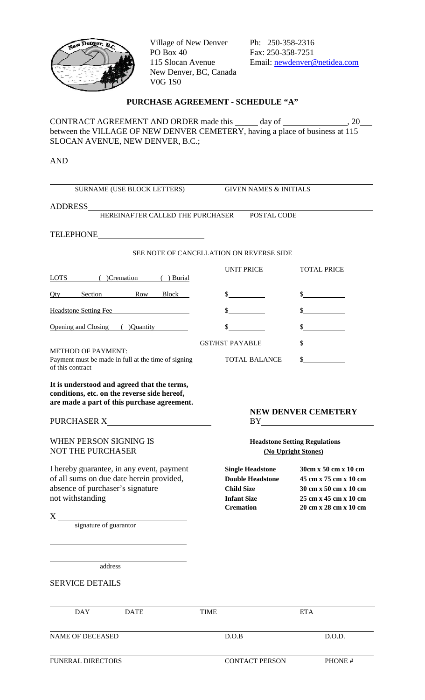

Village of New Denver<br>
Po Box 40<br>
Fax: 250-358-7251 New Denver, BC, Canada V0G 1S0

Fax: 250-358-7251 115 Slocan Avenue Email: newdenver@netidea.com

# **PURCHASE AGREEMENT - SCHEDULE "A"**

CONTRACT AGREEMENT AND ORDER made this  $\_\_\_\_$  day of  $\_\_\_\_\_\_$ , 20 between the VILLAGE OF NEW DENVER CEMETERY, having a place of business at 115 SLOCAN AVENUE, NEW DENVER, B.C.;

AND

| <b>SURNAME (USE BLOCK LETTERS)</b>                                                                                                                                                                   |                                        | <b>GIVEN NAMES &amp; INITIALS</b>                                       |                                                                                                                                                                                                                                                                                                                                 |  |  |
|------------------------------------------------------------------------------------------------------------------------------------------------------------------------------------------------------|----------------------------------------|-------------------------------------------------------------------------|---------------------------------------------------------------------------------------------------------------------------------------------------------------------------------------------------------------------------------------------------------------------------------------------------------------------------------|--|--|
| <b>ADDRESS</b>                                                                                                                                                                                       |                                        |                                                                         |                                                                                                                                                                                                                                                                                                                                 |  |  |
| HEREINAFTER CALLED THE PURCHASER                                                                                                                                                                     |                                        | POSTAL CODE                                                             |                                                                                                                                                                                                                                                                                                                                 |  |  |
| TELEPHONE<br><u> 1989 - Johann Barn, mars ann an t-</u>                                                                                                                                              |                                        |                                                                         |                                                                                                                                                                                                                                                                                                                                 |  |  |
| SEE NOTE OF CANCELLATION ON REVERSE SIDE                                                                                                                                                             |                                        |                                                                         |                                                                                                                                                                                                                                                                                                                                 |  |  |
|                                                                                                                                                                                                      |                                        |                                                                         |                                                                                                                                                                                                                                                                                                                                 |  |  |
| LOTS (Cremation (DETERTY)                                                                                                                                                                            |                                        | <b>UNIT PRICE</b>                                                       | <b>TOTAL PRICE</b>                                                                                                                                                                                                                                                                                                              |  |  |
| Section Row<br>Qty<br>Block                                                                                                                                                                          |                                        | $\frac{1}{2}$                                                           | $\frac{\text{S}}{\text{S}}$                                                                                                                                                                                                                                                                                                     |  |  |
| <b>Headstone Setting Fee</b>                                                                                                                                                                         |                                        |                                                                         | $\frac{\sqrt{2}}{2}$                                                                                                                                                                                                                                                                                                            |  |  |
| Opening and Closing ( )Quantity                                                                                                                                                                      | \$                                     |                                                                         | $\frac{\sqrt{2}}{2}$                                                                                                                                                                                                                                                                                                            |  |  |
|                                                                                                                                                                                                      | <b>GST/HST PAYABLE</b>                 |                                                                         |                                                                                                                                                                                                                                                                                                                                 |  |  |
| <b>METHOD OF PAYMENT:</b><br>Payment must be made in full at the time of signing<br>of this contract                                                                                                 |                                        | <b>TOTAL BALANCE</b>                                                    | $\sim$                                                                                                                                                                                                                                                                                                                          |  |  |
| conditions, etc. on the reverse side hereof,<br>are made a part of this purchase agreement.<br><b>WHEN PERSON SIGNING IS</b>                                                                         |                                        |                                                                         | <b>NEW DENVER CEMETERY</b><br>$BY$ and $BY$ and $XY$ and $XY$ and $XY$ and $XY$ and $XY$ and $XY$ and $XY$ and $XY$ and $XY$ and $XY$ and $XY$ and $XY$ and $XY$ and $XY$ and $XY$ and $XY$ and $XY$ and $XY$ and $XY$ and $XY$ and $XY$ and $XY$ and $XY$ and $XY$ and $XY$ and $XY$ a<br><b>Headstone Setting Regulations</b> |  |  |
| <b>NOT THE PURCHASER</b>                                                                                                                                                                             |                                        | (No Upright Stones)                                                     |                                                                                                                                                                                                                                                                                                                                 |  |  |
| I hereby guarantee, in any event, payment<br>of all sums on due date herein provided,<br>absence of purchaser's signature<br>not withstanding<br>$\boldsymbol{\mathrm{X}}$<br>signature of guarantor | <b>Infant Size</b><br><b>Cremation</b> | <b>Single Headstone</b><br><b>Double Headstone</b><br><b>Child Size</b> | 30cm x 50 cm x 10 cm<br>45 cm x 75 cm x 10 cm<br>30 cm x 50 cm x 10 cm<br>25 cm x 45 cm x 10 cm<br>20 cm x 28 cm x 10 cm                                                                                                                                                                                                        |  |  |
| address<br><b>SERVICE DETAILS</b>                                                                                                                                                                    |                                        |                                                                         |                                                                                                                                                                                                                                                                                                                                 |  |  |
| <b>DAY</b><br><b>DATE</b>                                                                                                                                                                            | <b>TIME</b>                            |                                                                         | <b>ETA</b>                                                                                                                                                                                                                                                                                                                      |  |  |
| <b>NAME OF DECEASED</b>                                                                                                                                                                              | D.O.B                                  |                                                                         | D.O.D.                                                                                                                                                                                                                                                                                                                          |  |  |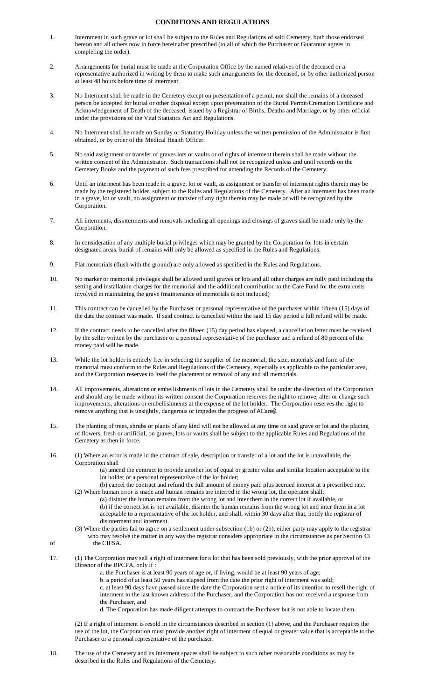#### **CONDITIONS AND REGULATIONS**

- 1. Internment in such grave or lot shall be subject to the Rules and Regulations of said Cemetery, both those endorsed hereon and all others now in force hereinafter prescribed (to all of which the Purchaser or Guarantor agrees in completing the order).
- 2. Arrangements for burial must be made at the Corporation Office by the named relatives of the deceased or a representative authorized in writing by them to make such arrangements for the deceased, or by other authorized person at least 48 hours before time of interment.
- 3. No Interment shall be made in the Cemetery except on presentation of a permit, nor shall the remains of a deceased person be accepted for burial or other disposal except upon presentation of the Burial Permit/Cremation Certificate and Acknowledgement of Death of the deceased, issued by a Registrar of Births, Deaths and Marriage, or by other official under the provisions of the Vital Statistics Act and Regulations.
- 4. No Interment shall be made on Sunday or Statutory Holiday unless the written permission of the Administrator is first obtained, or by order of the Medical Health Officer.
- 5. No said assignment or transfer of graves lots or vaults or of rights of interment therein shall be made without the written consent of the Administrator. Such transactions shall not be recognized unless and until records on the Cemetery Books and the payment of such fees prescribed for amending the Records of the Cemetery.
- 6. Until an interment has been made in a grave, lot or vault, as assignment or transfer of interment rights therein may be made by the registered holder, subject to the Rules and Regulations of the Cemetery. After an interment has been made in a grave, lot or vault, no assignment or transfer of any right therein may be made or will be recognized by the Corporation.
- 7. All interments, disinterments and removals including all openings and closings of graves shall be made only by the Corporation.
- 8. In consideration of any multiple burial privileges which may be granted by the Corporation for lots in certain designated areas, burial of remains will only be allowed as specified in the Rules and Regulations.
- 9. Flat memorials (flush with the ground) are only allowed as specified in the Rules and Regulations.
- 10. No marker or memorial privileges shall be allowed until graves or lots and all other charges are fully paid including the setting and installation charges for the memorial and the additional contribution to the Care Fund for the extra costs involved in maintaining the grave (maintenance of memorials is not included)
- 11. This contract can be cancelled by the Purchaser or personal representative of the purchaser within fifteen (15) days of the date the contract was made. If said contract is cancelled within the said 15 day period a full refund will be made.
- 12. If the contract needs to be cancelled after the fifteen (15) day period has elapsed, a cancellation letter must be received by the seller written by the purchaser or a personal representative of the purchaser and a refund of 80 percent of the money paid will be made.
- 13. While the lot holder is entirely free in selecting the supplier of the memorial, the size, materials and form of the memorial must conform to the Rules and Regulations of the Cemetery, especially as applicable to the particular area, and the Corporation reserves to itself the placement or removal of any and all memorials.
- 14. All improvements, alterations or embellishments of lots in the Cemetery shall be under the direction of the Corporation and should any be made without its written consent the Corporation reserves the right to remove, alter or change such improvements, alterations or embellishments at the expense of the lot holder. The Corporation reserves the right to remove anything that is unsightly, dangerous or impedes the progress of ACare@.
- 15. The planting of trees, shrubs or plants of any kind will not be allowed at any time on said grave or lot and the placing of flowers, fresh or artificial, on graves, lots or vaults shall be subject to the applicable Rules and Regulations of the Cemetery as then in force.
- 16. (1) Where an error is made in the contract of sale, description or transfer of a lot and the lot is unavailable, the Corporation shall
	- (a) amend the contract to provide another lot of equal or greater value and similar location acceptable to the lot holder or a personal representative of the lot holder;
	- (b) cancel the contract and refund the full amount of money paid plus accrued interest at a prescribed rate. (2) Where human error is made and human remains are interred in the wrong lot, the operator shall:
		- (a) disinter the human remains from the wrong lot and inter them in the correct lot if available, or (b) if the correct lot is not available, disinter the human remains from the wrong lot and inter them in a lot acceptable to a representative of the lot holder, and shall, within 30 days after that, notify the registrar of disinterment and interment.
- (3) Where the parties fail to agree on a settlement under subsection (1b) or (2b), either party may apply to the registrar who may resolve the matter in any way the registrar considers appropriate in the circumstances as per Section 43 of the CIFSA.
- 17. (1) The Corporation may sell a right of interment for a lot that has been sold previously, with the prior approval of the Director of the BPCPA, only if :
	- a. the Purchaser is at least 90 years of age or, if living, would be at least 90 years of age;

b. a period of at least 50 years has elapsed from the date the prior right of interment was sold; c. at least 90 days have passed since the date the Corporation sent a notice of its intention to resell the right of interment to the last known address of the Purchaser, and the Corporation has not received a response from the Purchaser, and

d. The Corporation has made diligent attempts to contract the Purchaser but is not able to locate them.

(2) If a right of interment is resold in the circumstances described in section (1) above, and the Purchaser requires the use of the lot, the Corporation must provide another right of interment of equal or greater value that is acceptable to the Purchaser or a personal representative of the purchaser.

18. The use of the Cemetery and its interment spaces shall be subject to such other reasonable conditions as may be described in the Rules and Regulations of the Cemetery.